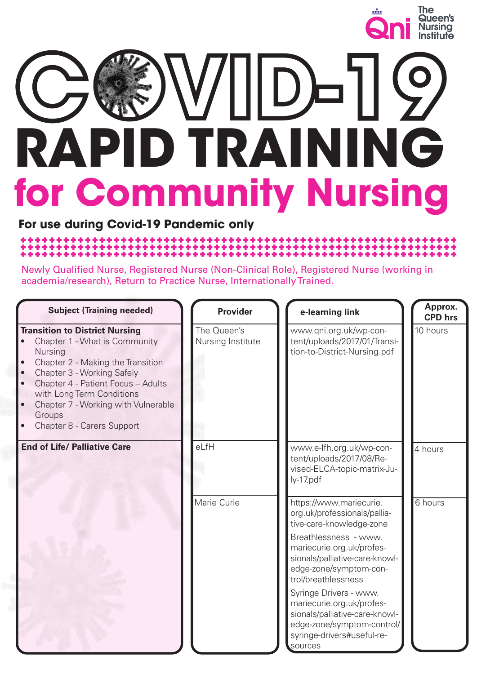

# **RAPID TRAINING for Community Nursing** COND-19

**For use during Covid-19 Pandemic only**

Newly Qualified Nurse, Registered Nurse (Non-Clinical Role), Registered Nurse (working in academia/research), Return to Practice Nurse, Internationally Trained.

| <b>Subject (Training needed)</b>                                                                                                                                                                                                                                                                                                              | <b>Provider</b>                  | e-learning link                                                                                                                                                                                                                                                                                                                                                                              | Approx.<br><b>CPD</b> hrs |
|-----------------------------------------------------------------------------------------------------------------------------------------------------------------------------------------------------------------------------------------------------------------------------------------------------------------------------------------------|----------------------------------|----------------------------------------------------------------------------------------------------------------------------------------------------------------------------------------------------------------------------------------------------------------------------------------------------------------------------------------------------------------------------------------------|---------------------------|
| <b>Transition to District Nursing</b><br>Chapter 1 - What is Community<br>Nursing<br>Chapter 2 - Making the Transition<br>Chapter 3 - Working Safely<br>$\bullet$<br>Chapter 4 - Patient Focus - Adults<br>$\bullet$<br>with Long Term Conditions<br>$\bullet$<br>Chapter 7 - Working with Vulnerable<br>Groups<br>Chapter 8 - Carers Support | The Queen's<br>Nursing Institute | www.qni.org.uk/wp-con-<br>tent/uploads/2017/01/Transi-<br>tion-to-District-Nursing.pdf                                                                                                                                                                                                                                                                                                       | 10 hours                  |
| <b>End of Life/ Palliative Care</b>                                                                                                                                                                                                                                                                                                           | eLfH                             | www.e-lfh.org.uk/wp-con-<br>tent/uploads/2017/08/Re-<br>vised-ELCA-topic-matrix-Ju-<br>ly-17.pdf                                                                                                                                                                                                                                                                                             | 4 hours                   |
|                                                                                                                                                                                                                                                                                                                                               | Marie Curie                      | https://www.mariecurie.<br>org.uk/professionals/pallia-<br>tive-care-knowledge-zone<br>Breathlessness - www.<br>mariecurie.org.uk/profes-<br>sionals/palliative-care-knowl-<br>edge-zone/symptom-con-<br>trol/breathlessness<br>Syringe Drivers - www.<br>mariecurie.org.uk/profes-<br>sionals/palliative-care-knowl-<br>edge-zone/symptom-control/<br>syringe-drivers#useful-re-<br>sources | 6 hours                   |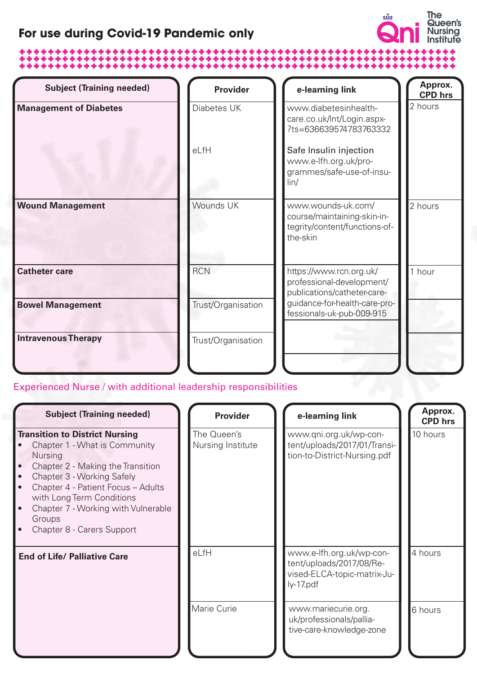## **For use during Covid-19 Pandemic only**

# 



| <b>Subject (Training needed)</b> | <b>Provider</b>    | e-learning link                                                                                | Approx.<br><b>CPD</b> hrs |
|----------------------------------|--------------------|------------------------------------------------------------------------------------------------|---------------------------|
| <b>Management of Diabetes</b>    | Diabetes UK        | www.diabetesinhealth-<br>care.co.uk/Int/Login.aspx-<br>?ts=636639574783763332                  | 2 hours                   |
|                                  | eLfH               | Safe Insulin injection<br>www.e-lfh.org.uk/pro-<br>grammes/safe-use-of-insu-<br>$\lim$         |                           |
| <b>Wound Management</b>          | Wounds UK          | www.wounds-uk.com/<br>course/maintaining-skin-in-<br>tegrity/content/functions-of-<br>the-skin | 2 hours                   |
| <b>Catheter care</b>             | <b>RCN</b>         | https://www.rcn.org.uk/<br>professional-development/<br>publications/catheter-care-            | 1 hour                    |
| <b>Bowel Management</b>          | Trust/Organisation | guidance-for-health-care-pro-<br>fessionals-uk-pub-009-915                                     |                           |
| <b>Intravenous Therapy</b>       | Trust/Organisation |                                                                                                |                           |

Experienced Nurse / with additional leadership responsibilities

| <b>Subject (Training needed)</b>                                                                                                                                                                                                                                                                              | <b>Provider</b>                  | e-learning link                                                                                    | Approx.<br><b>CPD</b> hrs |
|---------------------------------------------------------------------------------------------------------------------------------------------------------------------------------------------------------------------------------------------------------------------------------------------------------------|----------------------------------|----------------------------------------------------------------------------------------------------|---------------------------|
| <b>Transition to District Nursing</b><br>Chapter 1 - What is Community<br><b>Nursing</b><br>Chapter 2 - Making the Transition<br>Chapter 3 - Working Safely<br>Chapter 4 - Patient Focus - Adults<br>with Long Term Conditions<br>Chapter 7 - Working with Vulnerable<br>Groups<br>Chapter 8 - Carers Support | The Queen's<br>Nursing Institute | www.qni.org.uk/wp-con-<br>tent/uploads/2017/01/Transi-<br>tion-to-District-Nursing.pdf             | 10 hours                  |
| <b>End of Life/ Palliative Care</b>                                                                                                                                                                                                                                                                           | eLfH                             | www.e-lfh.org.uk/wp-con-<br>tent/uploads/2017/08/Re-<br>vised-ELCA-topic-matrix-Ju-<br>$ly-17.pdf$ | 4 hours                   |
|                                                                                                                                                                                                                                                                                                               | Marie Curie                      | www.mariecurie.org.<br>uk/professionals/pallia-<br>tive-care-knowledge-zone                        | 6 hours                   |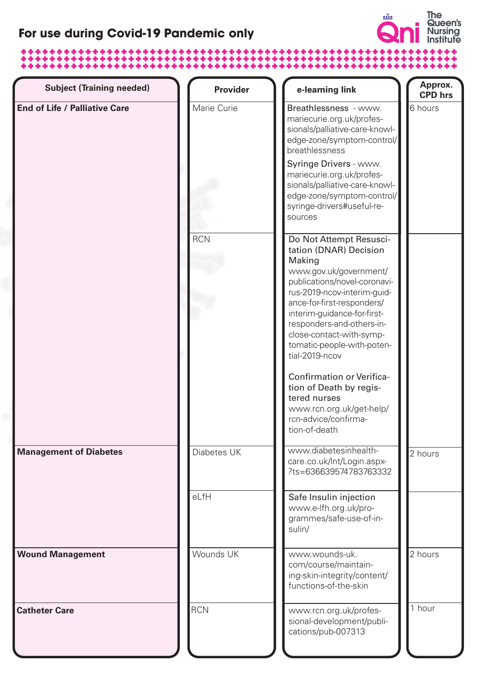## **For use during Covid-19 Pandemic only**

## 



| <b>Subject (Training needed)</b>     | <b>Provider</b> | e-learning link                                                                                                                                                                                                                                                                                                                                                                                                                                                                | Approx.<br><b>CPD</b> hrs |
|--------------------------------------|-----------------|--------------------------------------------------------------------------------------------------------------------------------------------------------------------------------------------------------------------------------------------------------------------------------------------------------------------------------------------------------------------------------------------------------------------------------------------------------------------------------|---------------------------|
| <b>End of Life / Palliative Care</b> | Marie Curie     | Breathlessness - www.<br>mariecurie.org.uk/profes-<br>sionals/palliative-care-knowl-<br>edge-zone/symptom-control/<br>breathlessness<br>Syringe Drivers - www.<br>mariecurie.org.uk/profes-<br>sionals/palliative-care-knowl-<br>edge-zone/symptom-control/<br>syringe-drivers#useful-re-<br>sources                                                                                                                                                                           | 6 hours                   |
|                                      | <b>RCN</b>      | Do Not Attempt Resusci-<br>tation (DNAR) Decision<br>Making<br>www.gov.uk/government/<br>publications/novel-coronavi-<br>rus-2019-ncov-interim-guid-<br>ance-for-first-responders/<br>interim-guidance-for-first-<br>responders-and-others-in-<br>close-contact-with-symp-<br>tomatic-people-with-poten-<br>tial-2019-ncov<br><b>Confirmation or Verifica-</b><br>tion of Death by regis-<br>tered nurses<br>www.rcn.org.uk/get-help/<br>rcn-advice/confirma-<br>tion-of-death |                           |
| <b>Management of Diabetes</b>        | Diabetes UK     | www.diabetesinhealth-<br>care.co.uk/Int/Login.aspx-<br>?ts=636639574783763332                                                                                                                                                                                                                                                                                                                                                                                                  | 2 hours                   |
|                                      | eLfH            | Safe Insulin injection<br>www.e-lfh.org.uk/pro-<br>grammes/safe-use-of-in-<br>sulin/                                                                                                                                                                                                                                                                                                                                                                                           |                           |
| <b>Wound Management</b>              | Wounds UK       | www.wounds-uk.<br>com/course/maintain-<br>ing-skin-integrity/content/<br>functions-of-the-skin                                                                                                                                                                                                                                                                                                                                                                                 | 2 hours                   |
| <b>Catheter Care</b>                 | <b>RCN</b>      | www.rcn.org.uk/profes-<br>sional-development/publi-<br>cations/pub-007313                                                                                                                                                                                                                                                                                                                                                                                                      | $\overline{1}$ hour       |

Covid-19 Training for Community, Primary Care and Care Home Nursing 3